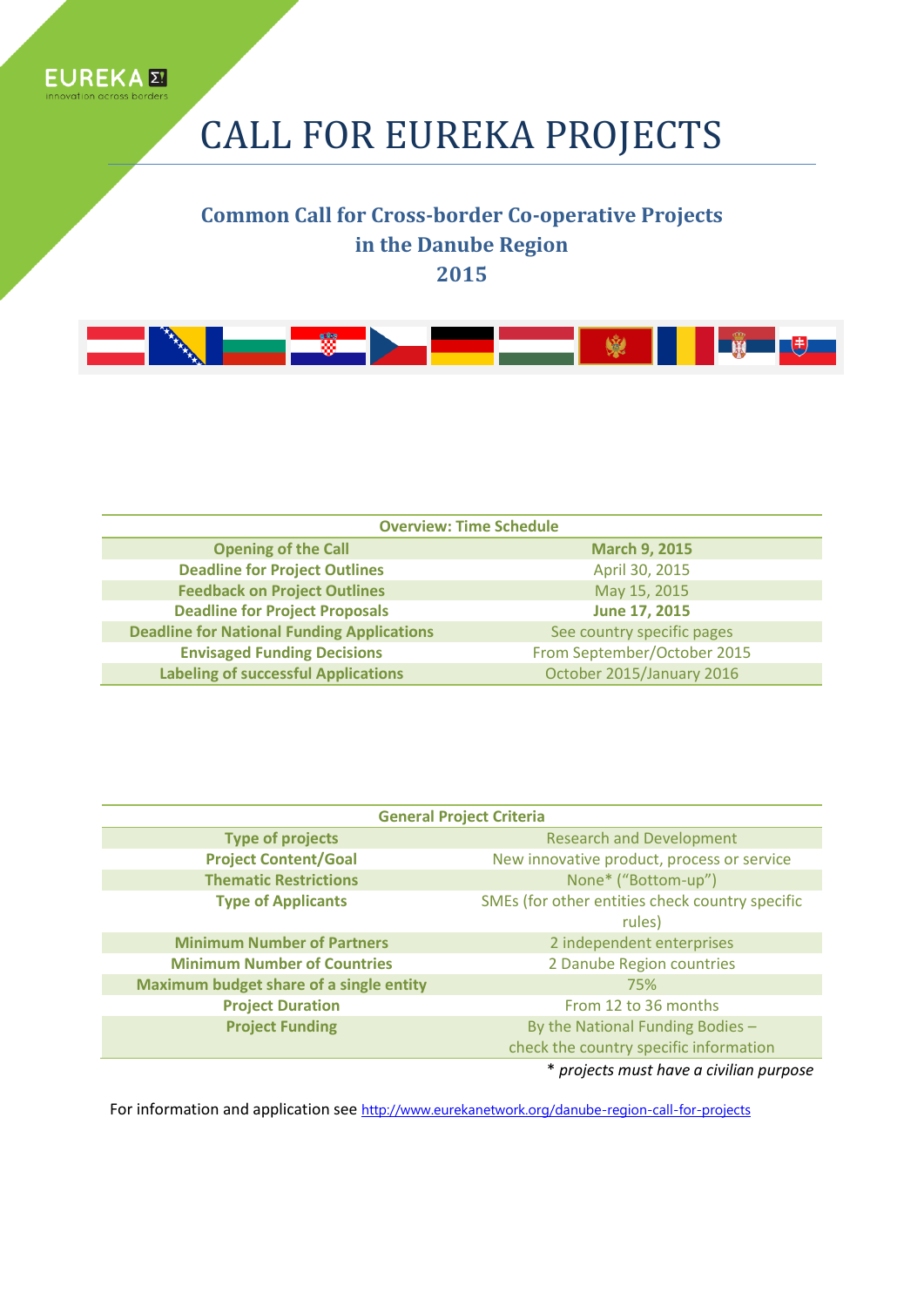

# CALL FOR EUREKA PROJECTS

### **Common Call for Cross-border Co-operative Projects in the Danube Region 2015**



| <b>Overview: Time Schedule</b>                    |                             |
|---------------------------------------------------|-----------------------------|
| <b>Opening of the Call</b>                        | <b>March 9, 2015</b>        |
| <b>Deadline for Project Outlines</b>              | April 30, 2015              |
| <b>Feedback on Project Outlines</b>               | May 15, 2015                |
| <b>Deadline for Project Proposals</b>             | June 17, 2015               |
| <b>Deadline for National Funding Applications</b> | See country specific pages  |
| <b>Envisaged Funding Decisions</b>                | From September/October 2015 |
| <b>Labeling of successful Applications</b>        | October 2015/January 2016   |

| <b>General Project Criteria</b>         |                                                           |
|-----------------------------------------|-----------------------------------------------------------|
| <b>Type of projects</b>                 | <b>Research and Development</b>                           |
| <b>Project Content/Goal</b>             | New innovative product, process or service                |
| <b>Thematic Restrictions</b>            | None* ("Bottom-up")                                       |
| <b>Type of Applicants</b>               | SMEs (for other entities check country specific<br>rules) |
| <b>Minimum Number of Partners</b>       | 2 independent enterprises                                 |
| <b>Minimum Number of Countries</b>      | 2 Danube Region countries                                 |
| Maximum budget share of a single entity | 75%                                                       |
| <b>Project Duration</b>                 | From 12 to 36 months                                      |
| <b>Project Funding</b>                  | By the National Funding Bodies -                          |
|                                         | check the country specific information                    |
|                                         | $*$ projects must hough similar purpose                   |

\* *projects must have a civilian purpose*

For information and application see http://www.eurekanetwork.org/danube-region-call-for-projects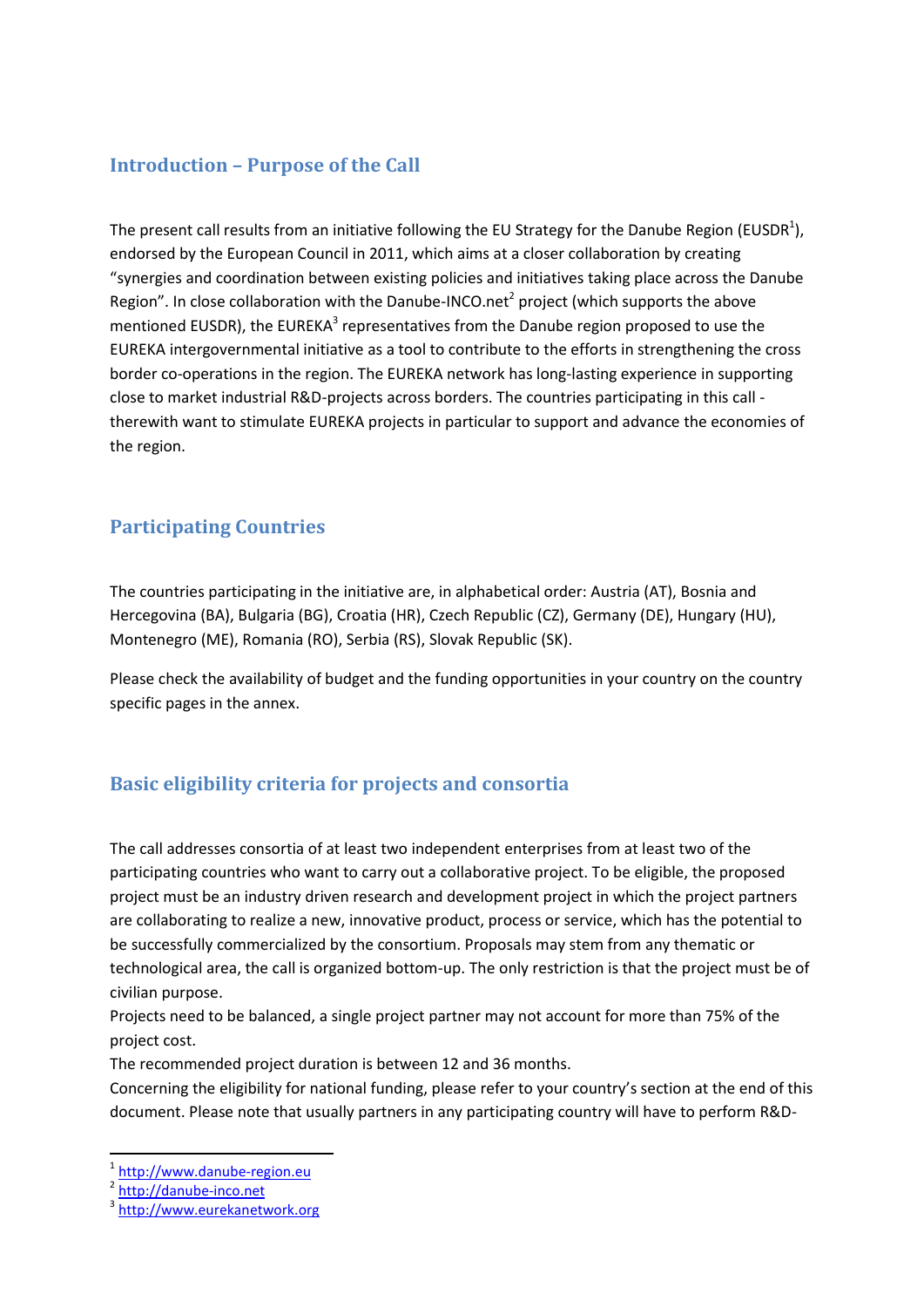#### **Introduction – Purpose of the Call**

The present call results from an initiative following the EU Strategy for the Danube Region (EUSDR<sup>1</sup>), endorsed by the European Council in 2011, which aims at a closer collaboration by creating "synergies and coordination between existing policies and initiatives taking place across the Danube Region". In close collaboration with the Danube-INCO.net<sup>2</sup> project (which supports the above mentioned EUSDR), the EUREKA<sup>3</sup> representatives from the Danube region proposed to use the EUREKA intergovernmental initiative as a tool to contribute to the efforts in strengthening the cross border co-operations in the region. The EUREKA network has long-lasting experience in supporting close to market industrial R&D-projects across borders. The countries participating in this call therewith want to stimulate EUREKA projects in particular to support and advance the economies of the region.

### **Participating Countries**

The countries participating in the initiative are, in alphabetical order: Austria (AT), Bosnia and Hercegovina (BA), Bulgaria (BG), Croatia (HR), Czech Republic (CZ), Germany (DE), Hungary (HU), Montenegro (ME), Romania (RO), Serbia (RS), Slovak Republic (SK).

Please check the availability of budget and the funding opportunities in your country on the country specific pages in the annex.

### **Basic eligibility criteria for projects and consortia**

The call addresses consortia of at least two independent enterprises from at least two of the participating countries who want to carry out a collaborative project. To be eligible, the proposed project must be an industry driven research and development project in which the project partners are collaborating to realize a new, innovative product, process or service, which has the potential to be successfully commercialized by the consortium. Proposals may stem from any thematic or technological area, the call is organized bottom-up. The only restriction is that the project must be of civilian purpose.

Projects need to be balanced, a single project partner may not account for more than 75% of the project cost.

The recommended project duration is between 12 and 36 months.

Concerning the eligibility for national funding, please refer to your country's section at the end of this document. Please note that usually partners in any participating country will have to perform R&D-

1

<sup>&</sup>lt;sup>1</sup> [http://www.danube-region.eu](http://www.danube-region.eu/)

<sup>&</sup>lt;sup>2</sup> [http://danube-inco.net](http://danube-inco.net/)

<sup>3</sup> [http://www.eurekanetwork.org](http://www.eurekanetwork.org/)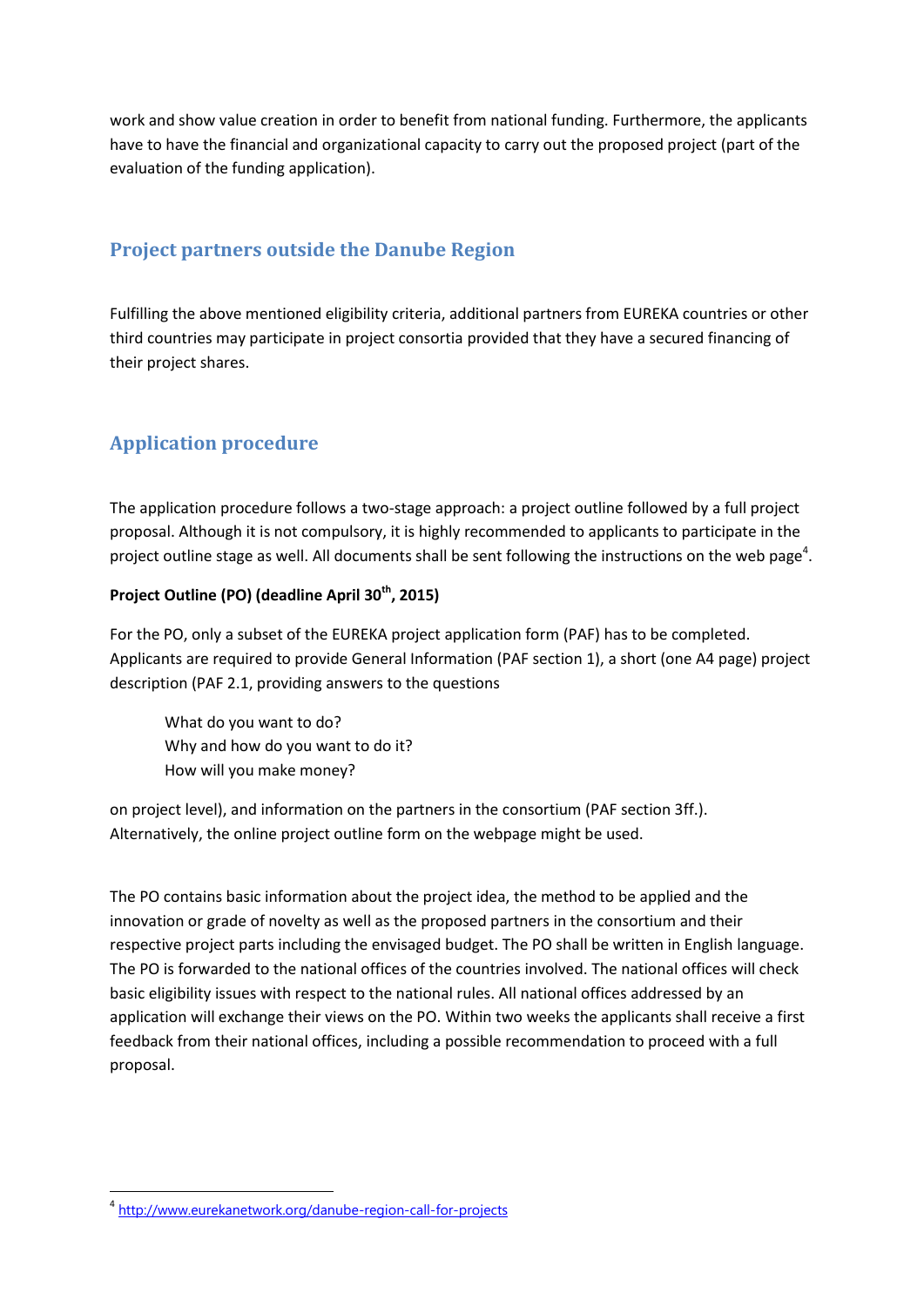work and show value creation in order to benefit from national funding. Furthermore, the applicants have to have the financial and organizational capacity to carry out the proposed project (part of the evaluation of the funding application).

#### **Project partners outside the Danube Region**

Fulfilling the above mentioned eligibility criteria, additional partners from EUREKA countries or other third countries may participate in project consortia provided that they have a secured financing of their project shares.

### **Application procedure**

The application procedure follows a two-stage approach: a project outline followed by a full project proposal. Although it is not compulsory, it is highly recommended to applicants to participate in the project outline stage as well. All documents shall be sent following the instructions on the web page<sup>4</sup>.

#### **Project Outline (PO) (deadline April 30th, 2015)**

For the PO, only a subset of the EUREKA project application form (PAF) has to be completed. Applicants are required to provide General Information (PAF section 1), a short (one A4 page) project description (PAF 2.1, providing answers to the questions

What do you want to do? Why and how do you want to do it? How will you make money?

on project level), and information on the partners in the consortium (PAF section 3ff.). Alternatively, the online project outline form on the webpage might be used.

The PO contains basic information about the project idea, the method to be applied and the innovation or grade of novelty as well as the proposed partners in the consortium and their respective project parts including the envisaged budget. The PO shall be written in English language. The PO is forwarded to the national offices of the countries involved. The national offices will check basic eligibility issues with respect to the national rules. All national offices addressed by an application will exchange their views on the PO. Within two weeks the applicants shall receive a first feedback from their national offices, including a possible recommendation to proceed with a full proposal.

**.** 

<sup>&</sup>lt;sup>4</sup> http://www.eurekanetwork.org/danube-region-call-for-projects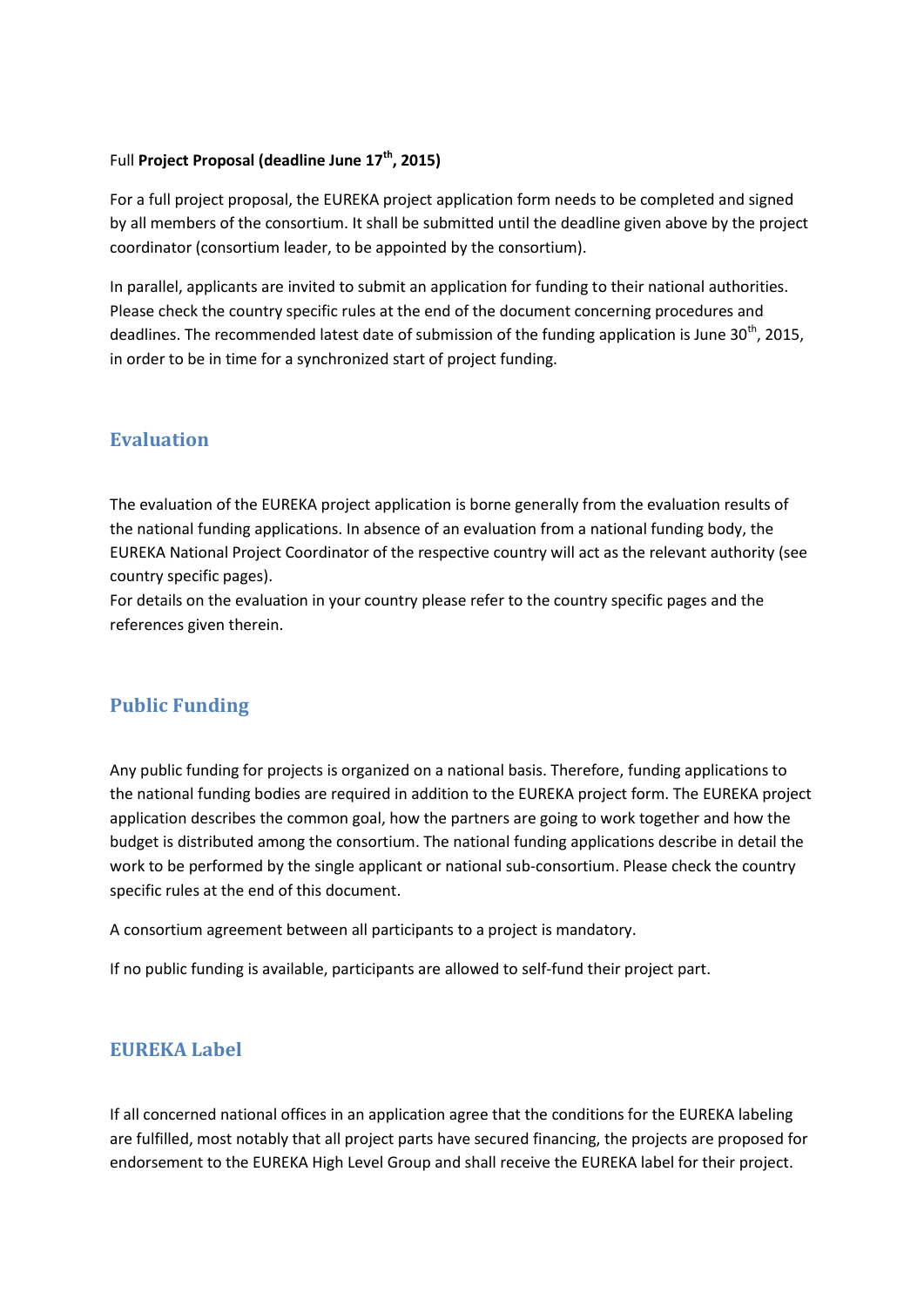#### Full **Project Proposal (deadline June 17th, 2015)**

For a full project proposal, the EUREKA project application form needs to be completed and signed by all members of the consortium. It shall be submitted until the deadline given above by the project coordinator (consortium leader, to be appointed by the consortium).

In parallel, applicants are invited to submit an application for funding to their national authorities. Please check the country specific rules at the end of the document concerning procedures and deadlines. The recommended latest date of submission of the funding application is June 30<sup>th</sup>, 2015, in order to be in time for a synchronized start of project funding.

#### **Evaluation**

The evaluation of the EUREKA project application is borne generally from the evaluation results of the national funding applications. In absence of an evaluation from a national funding body, the EUREKA National Project Coordinator of the respective country will act as the relevant authority (see country specific pages).

For details on the evaluation in your country please refer to the country specific pages and the references given therein.

#### **Public Funding**

Any public funding for projects is organized on a national basis. Therefore, funding applications to the national funding bodies are required in addition to the EUREKA project form. The EUREKA project application describes the common goal, how the partners are going to work together and how the budget is distributed among the consortium. The national funding applications describe in detail the work to be performed by the single applicant or national sub-consortium. Please check the country specific rules at the end of this document.

A consortium agreement between all participants to a project is mandatory.

If no public funding is available, participants are allowed to self-fund their project part.

#### **EUREKA Label**

If all concerned national offices in an application agree that the conditions for the EUREKA labeling are fulfilled, most notably that all project parts have secured financing, the projects are proposed for endorsement to the EUREKA High Level Group and shall receive the EUREKA label for their project.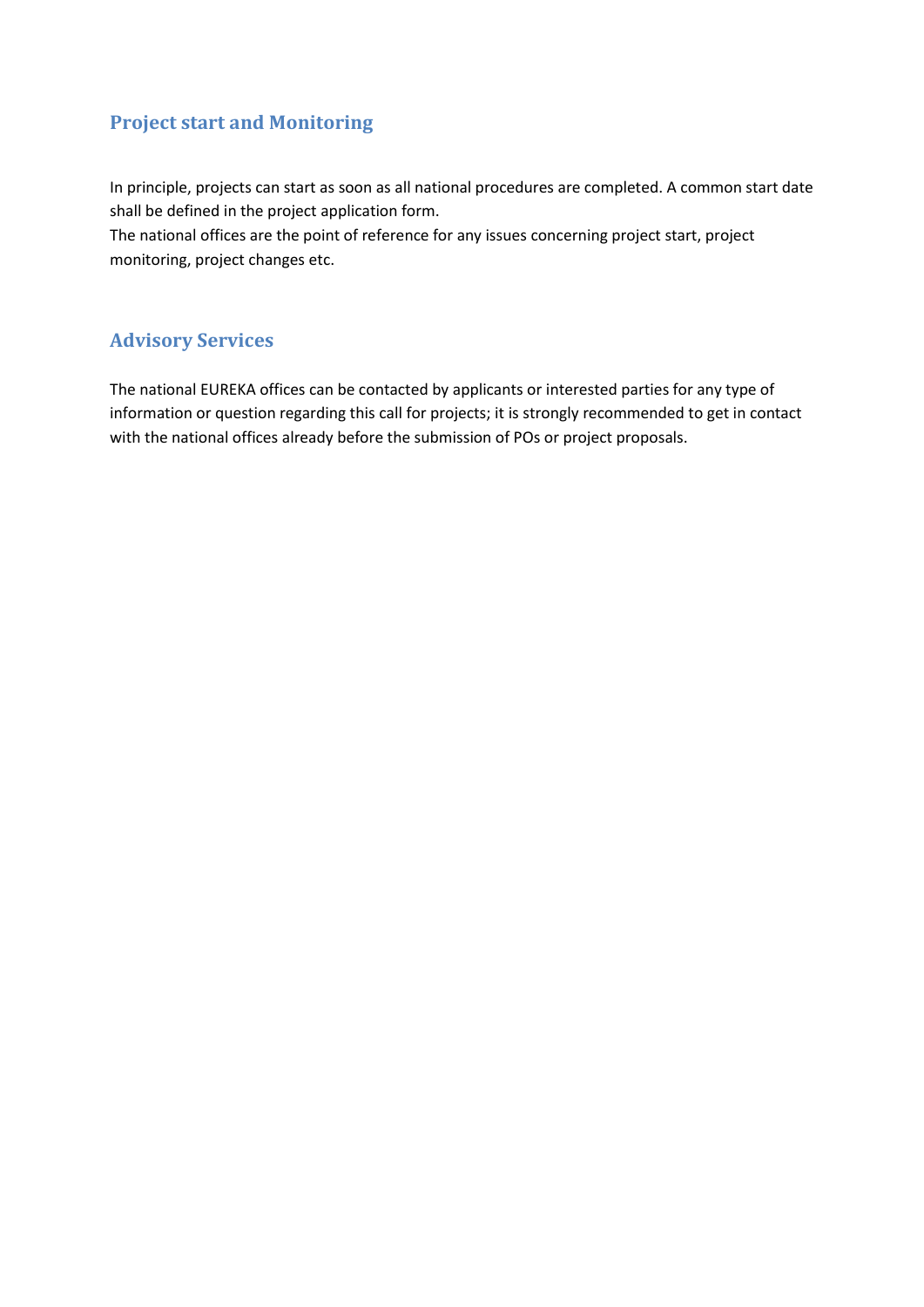### **Project start and Monitoring**

In principle, projects can start as soon as all national procedures are completed. A common start date shall be defined in the project application form.

The national offices are the point of reference for any issues concerning project start, project monitoring, project changes etc.

### **Advisory Services**

The national EUREKA offices can be contacted by applicants or interested parties for any type of information or question regarding this call for projects; it is strongly recommended to get in contact with the national offices already before the submission of POs or project proposals.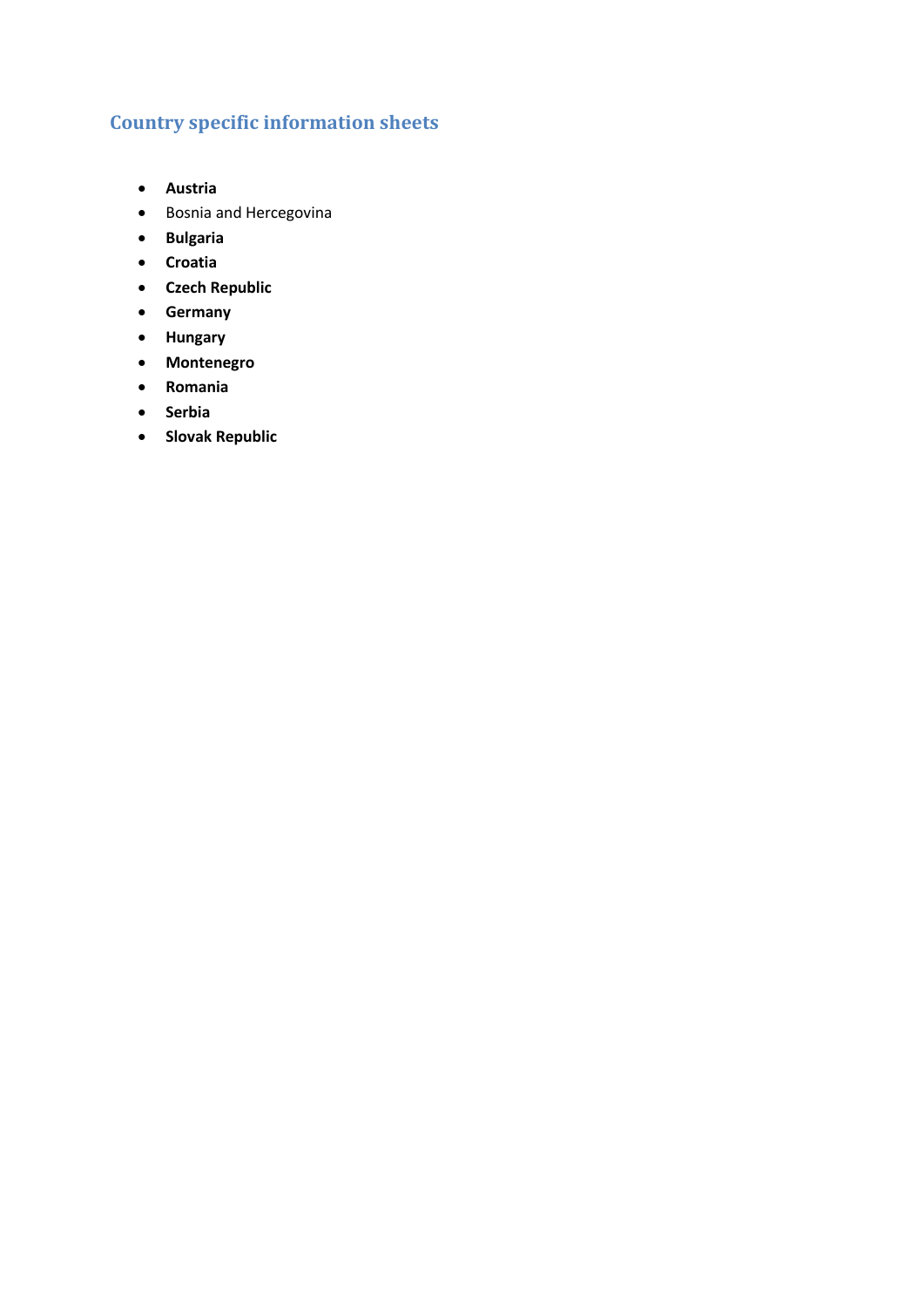### **Country specific information sheets**

- **Austria**
- Bosnia and Hercegovina
- **Bulgaria**
- **Croatia**
- **Czech Republic**
- **Germany**
- **Hungary**
- **Montenegro**
- **Romania**
- **•** Serbia
- **•** Slovak Republic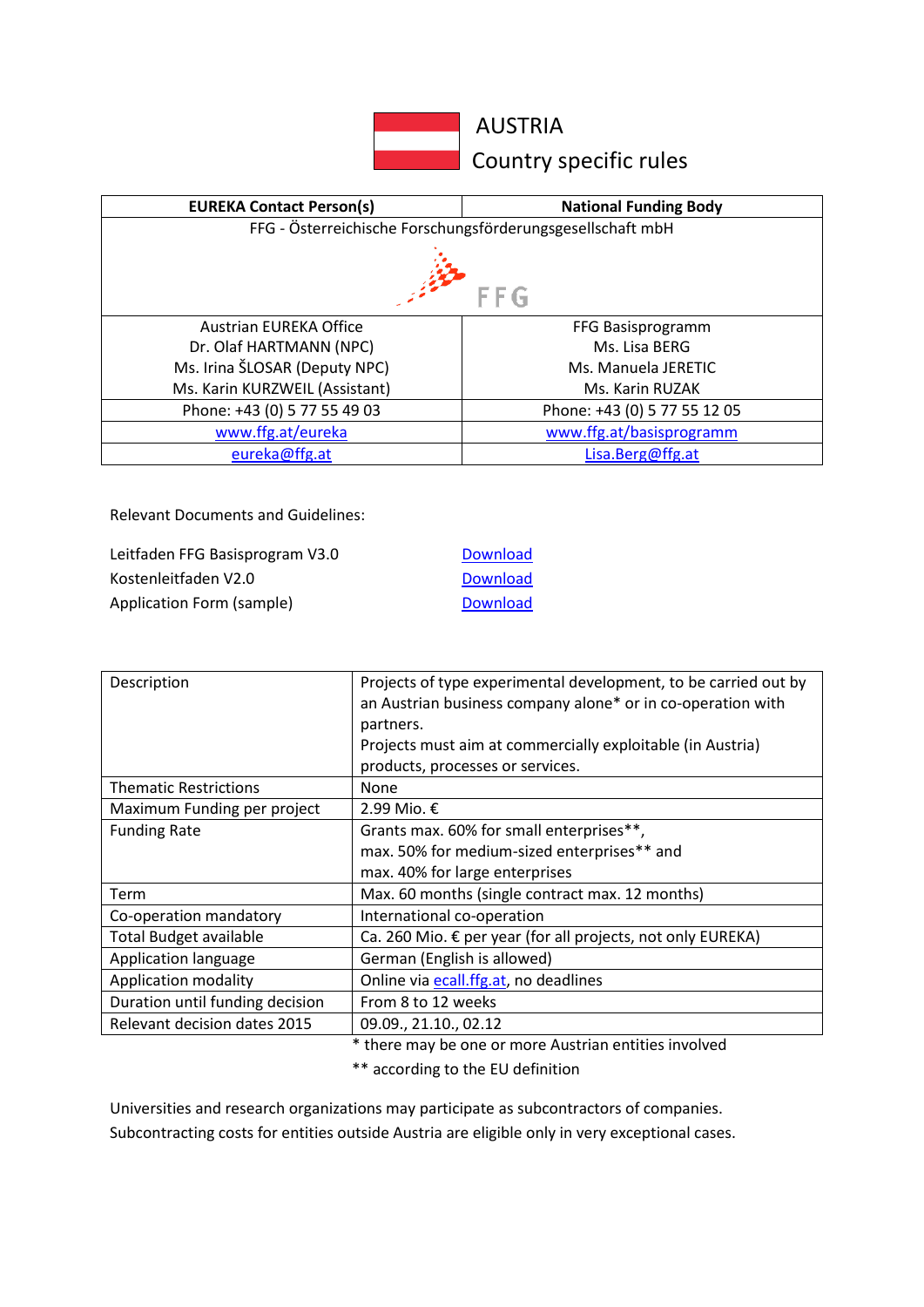

AUSTRIA

**Country specific rules** 

| <b>EUREKA Contact Person(s)</b>                            | <b>National Funding Body</b> |  |
|------------------------------------------------------------|------------------------------|--|
| FFG - Österreichische Forschungsförderungsgesellschaft mbH |                              |  |
| FFG                                                        |                              |  |
| Austrian EUREKA Office                                     | FFG Basisprogramm            |  |
| Dr. Olaf HARTMANN (NPC)                                    | Ms. Lisa BFRG                |  |
| Ms. Irina ŠLOSAR (Deputy NPC)                              | Ms. Manuela JERETIC          |  |
| Ms. Karin KURZWEIL (Assistant)                             | Ms. Karin RUZAK              |  |
| Phone: +43 (0) 5 77 55 49 03                               | Phone: +43 (0) 5 77 55 12 05 |  |
| www.ffg.at/eureka                                          | www.ffg.at/basisprogramm     |  |
| eureka@ffg.at                                              | Lisa.Berg@ffg.at             |  |

Relevant Documents and Guidelines:

| Leitfaden FFG Basisprogram V3.0 | <b>Download</b> |
|---------------------------------|-----------------|
| Kostenleitfaden V2.0            | <b>Download</b> |
| Application Form (sample)       | <b>Download</b> |

| Description                     | Projects of type experimental development, to be carried out by<br>an Austrian business company alone* or in co-operation with<br>partners.<br>Projects must aim at commercially exploitable (in Austria)<br>products, processes or services. |
|---------------------------------|-----------------------------------------------------------------------------------------------------------------------------------------------------------------------------------------------------------------------------------------------|
| <b>Thematic Restrictions</b>    | None                                                                                                                                                                                                                                          |
| Maximum Funding per project     | 2.99 Mio. €                                                                                                                                                                                                                                   |
| <b>Funding Rate</b>             | Grants max. 60% for small enterprises**,                                                                                                                                                                                                      |
|                                 | max. 50% for medium-sized enterprises** and                                                                                                                                                                                                   |
|                                 | max. 40% for large enterprises                                                                                                                                                                                                                |
| Term                            | Max. 60 months (single contract max. 12 months)                                                                                                                                                                                               |
| Co-operation mandatory          | International co-operation                                                                                                                                                                                                                    |
| <b>Total Budget available</b>   | Ca. 260 Mio. € per year (for all projects, not only EUREKA)                                                                                                                                                                                   |
| Application language            | German (English is allowed)                                                                                                                                                                                                                   |
| <b>Application modality</b>     | Online via ecall.ffg.at, no deadlines                                                                                                                                                                                                         |
| Duration until funding decision | From 8 to 12 weeks                                                                                                                                                                                                                            |
| Relevant decision dates 2015    | 09.09., 21.10., 02.12                                                                                                                                                                                                                         |

\* there may be one or more Austrian entities involved

\*\* according to the EU definition

Universities and research organizations may participate as subcontractors of companies. Subcontracting costs for entities outside Austria are eligible only in very exceptional cases.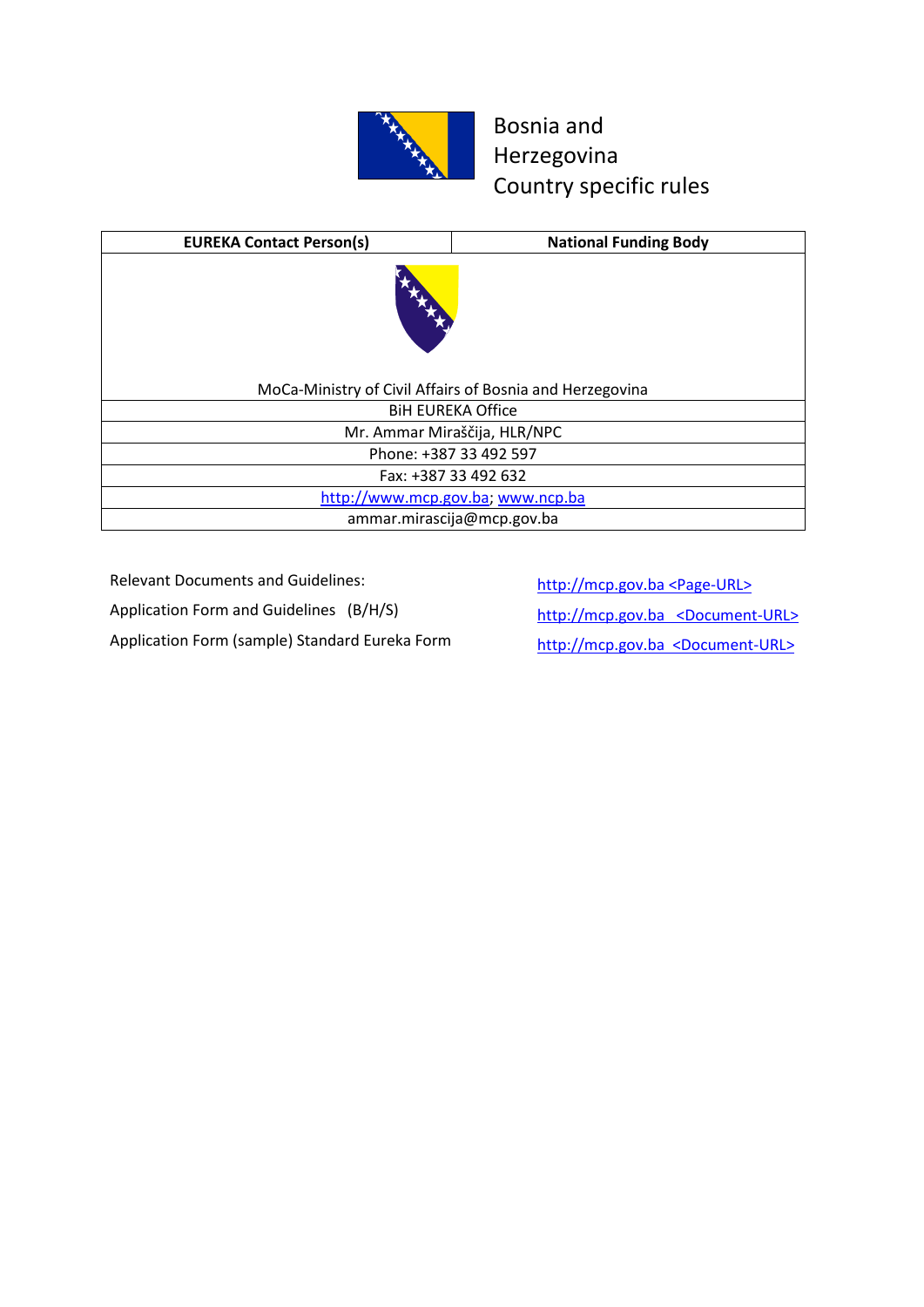

### Bosnia and Herzegovina Country specific rules

| <b>EUREKA Contact Person(s)</b>                          | <b>National Funding Body</b>      |
|----------------------------------------------------------|-----------------------------------|
| REAL PROPERTY.                                           |                                   |
| MoCa-Ministry of Civil Affairs of Bosnia and Herzegovina |                                   |
| <b>BIH EUREKA Office</b>                                 |                                   |
| Mr. Ammar Miraščija, HLR/NPC                             |                                   |
| Phone: +387 33 492 597                                   |                                   |
|                                                          | Fax: +387 33 492 632              |
|                                                          | http://www.mcp.gov.ba; www.ncp.ba |
|                                                          | ammar.mirascija@mcp.gov.ba        |

Relevant Documents and Guidelines: http://mcp.gov.ba <Page-URL>

Application Form and Guidelines (B/H/S) http://mcp.gov.ba <Document-URL>

Application Form (sample) Standard Eureka Form http://mcp.gov.ba <Document-URL>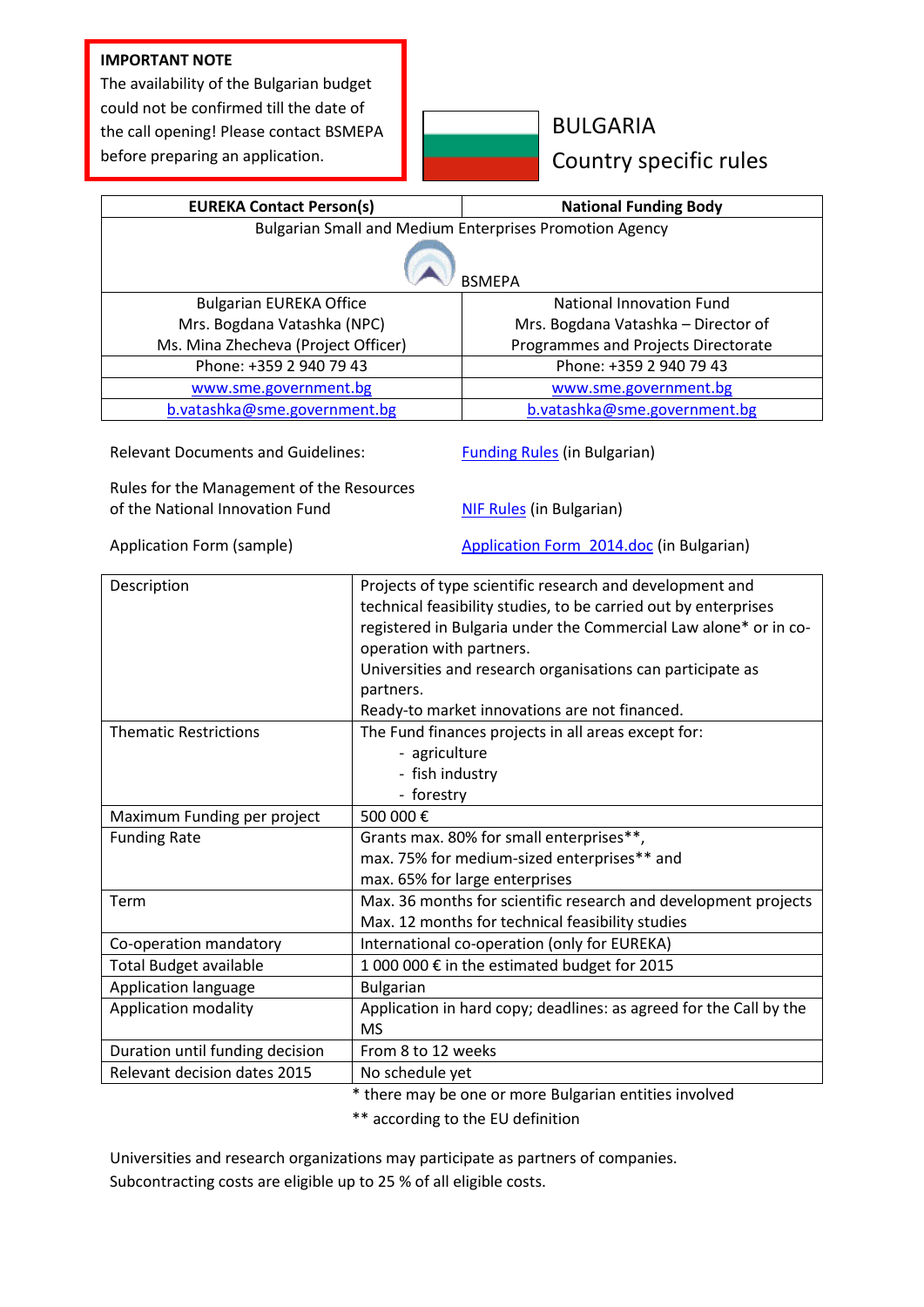#### **IMPORTANT NOTE**

The availability of the Bulgarian budget could not be confirmed till the date of the call opening! Please contact BSMEPA before preparing an application.



### BULGARIA Country specific rules

| <b>EUREKA Contact Person(s)</b>                                |                                                     | <b>National Funding Body</b>                                       |  |
|----------------------------------------------------------------|-----------------------------------------------------|--------------------------------------------------------------------|--|
| <b>Bulgarian Small and Medium Enterprises Promotion Agency</b> |                                                     |                                                                    |  |
|                                                                |                                                     |                                                                    |  |
|                                                                |                                                     | <b>BSMEPA</b>                                                      |  |
| <b>Bulgarian EUREKA Office</b>                                 |                                                     | <b>National Innovation Fund</b>                                    |  |
| Mrs. Bogdana Vatashka (NPC)                                    |                                                     | Mrs. Bogdana Vatashka - Director of                                |  |
| Ms. Mina Zhecheva (Project Officer)                            |                                                     | Programmes and Projects Directorate                                |  |
| Phone: +359 2 940 79 43                                        |                                                     | Phone: +359 2 940 79 43                                            |  |
| www.sme.government.bg                                          |                                                     | www.sme.government.bg                                              |  |
| b.vatashka@sme.government.bg                                   |                                                     | b.vatashka@sme.government.bg                                       |  |
|                                                                |                                                     |                                                                    |  |
| <b>Relevant Documents and Guidelines:</b>                      |                                                     | <b>Funding Rules</b> (in Bulgarian)                                |  |
|                                                                |                                                     |                                                                    |  |
| Rules for the Management of the Resources                      |                                                     |                                                                    |  |
| of the National Innovation Fund                                |                                                     | <b>NIF Rules</b> (in Bulgarian)                                    |  |
| Application Form (sample)                                      |                                                     | Application Form 2014.doc (in Bulgarian)                           |  |
|                                                                |                                                     |                                                                    |  |
| Description                                                    |                                                     | Projects of type scientific research and development and           |  |
|                                                                |                                                     | technical feasibility studies, to be carried out by enterprises    |  |
|                                                                |                                                     | registered in Bulgaria under the Commercial Law alone* or in co-   |  |
|                                                                | operation with partners.                            |                                                                    |  |
|                                                                |                                                     | Universities and research organisations can participate as         |  |
|                                                                | partners.                                           |                                                                    |  |
|                                                                |                                                     | Ready-to market innovations are not financed.                      |  |
| <b>Thematic Restrictions</b>                                   | The Fund finances projects in all areas except for: |                                                                    |  |
|                                                                | - agriculture                                       |                                                                    |  |
|                                                                | - fish industry                                     |                                                                    |  |
|                                                                | - forestry                                          |                                                                    |  |
| Maximum Funding per project                                    | 500 000€                                            |                                                                    |  |
| <b>Funding Rate</b>                                            |                                                     | Grants max. 80% for small enterprises**,                           |  |
|                                                                |                                                     | max. 75% for medium-sized enterprises** and                        |  |
|                                                                |                                                     | max. 65% for large enterprises                                     |  |
| Term                                                           |                                                     | Max. 36 months for scientific research and development projects    |  |
|                                                                |                                                     | Max. 12 months for technical feasibility studies                   |  |
| Co-operation mandatory                                         | International co-operation (only for EUREKA)        |                                                                    |  |
| <b>Total Budget available</b>                                  |                                                     | 1 000 000 € in the estimated budget for 2015                       |  |
| Application language                                           | <b>Bulgarian</b>                                    |                                                                    |  |
| <b>Application modality</b>                                    |                                                     | Application in hard copy; deadlines: as agreed for the Call by the |  |
|                                                                | <b>MS</b>                                           |                                                                    |  |
| Duration until funding decision                                | From 8 to 12 weeks                                  |                                                                    |  |
| Relevant decision dates 2015                                   | No schedule yet                                     |                                                                    |  |

\* there may be one or more Bulgarian entities involved

\*\* according to the EU definition

Universities and research organizations may participate as partners of companies. Subcontracting costs are eligible up to 25 % of all eligible costs.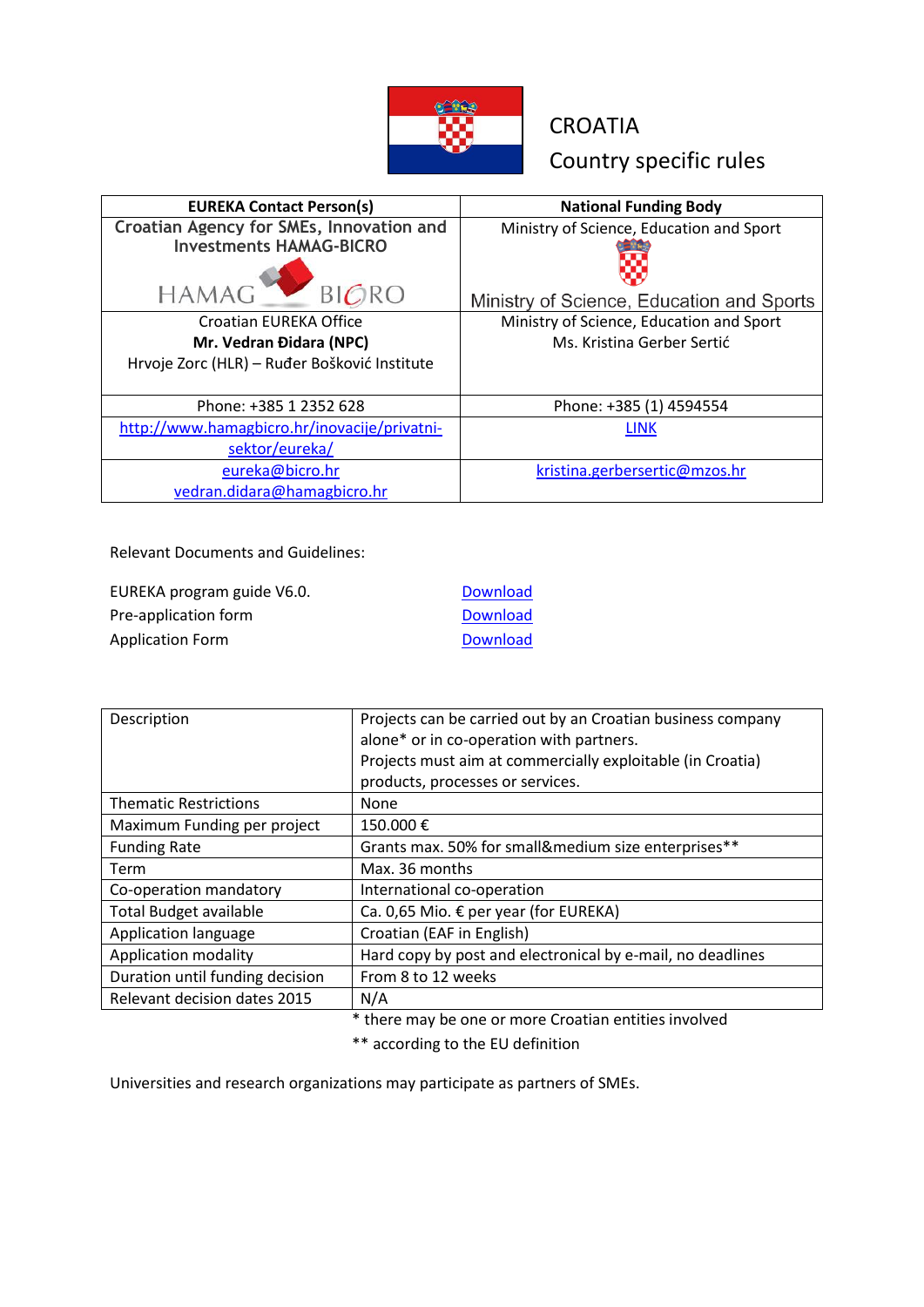

# **CROATIA** Country specific rules

| <b>EUREKA Contact Person(s)</b>              | <b>National Funding Body</b>              |
|----------------------------------------------|-------------------------------------------|
| Croatian Agency for SMEs, Innovation and     | Ministry of Science, Education and Sport  |
| <b>Investments HAMAG-BICRO</b>               |                                           |
|                                              |                                           |
| <b>HAMA</b><br>BIGRO                         | Ministry of Science, Education and Sports |
| Croatian EUREKA Office                       | Ministry of Science, Education and Sport  |
| Mr. Vedran Đidara (NPC)                      | Ms. Kristina Gerber Sertić                |
| Hrvoje Zorc (HLR) - Ruđer Bošković Institute |                                           |
| Phone: +385 1 2352 628                       | Phone: +385 (1) 4594554                   |
| http://www.hamagbicro.hr/inovacije/privatni- | <b>LINK</b>                               |
| sektor/eureka/                               |                                           |
| eureka@bicro.hr                              | kristina.gerbersertic@mzos.hr             |
| vedran.didara@hamagbicro.hr                  |                                           |

Relevant Documents and Guidelines:

| EUREKA program guide V6.0. | <b>Download</b> |
|----------------------------|-----------------|
| Pre-application form       | <b>Download</b> |
| Application Form           | <b>Download</b> |

| Description                     | Projects can be carried out by an Croatian business company<br>alone* or in co-operation with partners.<br>Projects must aim at commercially exploitable (in Croatia)<br>products, processes or services. |
|---------------------------------|-----------------------------------------------------------------------------------------------------------------------------------------------------------------------------------------------------------|
| <b>Thematic Restrictions</b>    | None                                                                                                                                                                                                      |
| Maximum Funding per project     | 150.000€                                                                                                                                                                                                  |
| <b>Funding Rate</b>             | Grants max. 50% for small&medium size enterprises**                                                                                                                                                       |
| Term                            | Max. 36 months                                                                                                                                                                                            |
| Co-operation mandatory          | International co-operation                                                                                                                                                                                |
| <b>Total Budget available</b>   | Ca. 0,65 Mio. € per year (for EUREKA)                                                                                                                                                                     |
| Application language            | Croatian (EAF in English)                                                                                                                                                                                 |
| Application modality            | Hard copy by post and electronical by e-mail, no deadlines                                                                                                                                                |
| Duration until funding decision | From 8 to 12 weeks                                                                                                                                                                                        |
| Relevant decision dates 2015    | N/A                                                                                                                                                                                                       |

\* there may be one or more Croatian entities involved

\*\* according to the EU definition

Universities and research organizations may participate as partners of SMEs.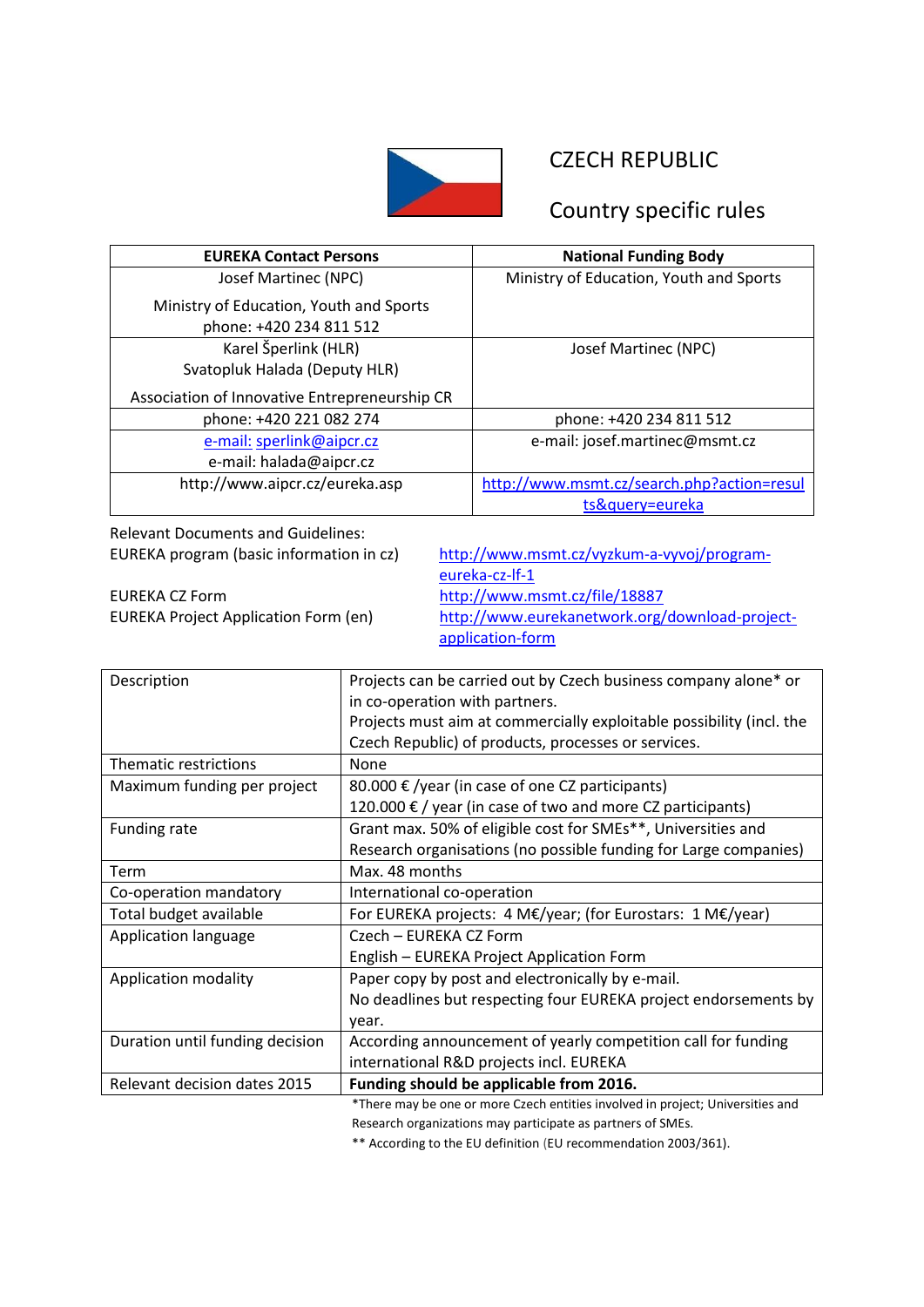

### CZECH REPUBLIC

### Country specific rules

| <b>EUREKA Contact Persons</b>                                      | <b>National Funding Body</b>               |
|--------------------------------------------------------------------|--------------------------------------------|
| Josef Martinec (NPC)                                               | Ministry of Education, Youth and Sports    |
| Ministry of Education, Youth and Sports<br>phone: +420 234 811 512 |                                            |
| Karel Šperlink (HLR)                                               | Josef Martinec (NPC)                       |
| Svatopluk Halada (Deputy HLR)                                      |                                            |
| Association of Innovative Entrepreneurship CR                      |                                            |
| phone: +420 221 082 274                                            | phone: +420 234 811 512                    |
| e-mail: sperlink@aipcr.cz                                          | e-mail: josef.martinec@msmt.cz             |
| e-mail: halada@aipcr.cz                                            |                                            |
| http://www.aipcr.cz/eureka.asp                                     | http://www.msmt.cz/search.php?action=resul |
|                                                                    | ts&query=eureka                            |

Relevant Documents and Guidelines:

EUREKA CZ Form <http://www.msmt.cz/file/18887>

EUREKA program (basic information in cz) [http://www.msmt.cz/vyzkum-a-vyvoj/program](http://www.msmt.cz/vyzkum-a-vyvoj/program-eureka-cz-lf-1)[eureka-cz-lf-1](http://www.msmt.cz/vyzkum-a-vyvoj/program-eureka-cz-lf-1) EUREKA Project Application Form (en) [http://www.eurekanetwork.org/download-project](http://www.eurekanetwork.org/download-project-application-form)[application-form](http://www.eurekanetwork.org/download-project-application-form)

| Description                     | Projects can be carried out by Czech business company alone* or                |
|---------------------------------|--------------------------------------------------------------------------------|
|                                 | in co-operation with partners.                                                 |
|                                 | Projects must aim at commercially exploitable possibility (incl. the           |
|                                 | Czech Republic) of products, processes or services.                            |
| Thematic restrictions           | None                                                                           |
| Maximum funding per project     | 80.000 $\epsilon$ /year (in case of one CZ participants)                       |
|                                 | 120.000 € / year (in case of two and more CZ participants)                     |
| Funding rate                    | Grant max. 50% of eligible cost for SMEs**, Universities and                   |
|                                 | Research organisations (no possible funding for Large companies)               |
| Term                            | Max. 48 months                                                                 |
| Co-operation mandatory          | International co-operation                                                     |
| Total budget available          | For EUREKA projects: 4 M€/year; (for Eurostars: 1 M€/year)                     |
| Application language            | Czech - EUREKA CZ Form                                                         |
|                                 | English - EUREKA Project Application Form                                      |
| Application modality            | Paper copy by post and electronically by e-mail.                               |
|                                 | No deadlines but respecting four EUREKA project endorsements by                |
|                                 | year.                                                                          |
| Duration until funding decision | According announcement of yearly competition call for funding                  |
|                                 | international R&D projects incl. EUREKA                                        |
| Relevant decision dates 2015    | Funding should be applicable from 2016.                                        |
|                                 | *There may be one or more Czech entities involved in project; Universities and |

Research organizations may participate as partners of SMEs.

\*\* According to the EU definition [\(EU recommendation 2003/361\)](http://eur-lex.europa.eu/LexUriServ/LexUriServ.do?uri=OJ:L:2003:124:0036:0041:EN:PDF).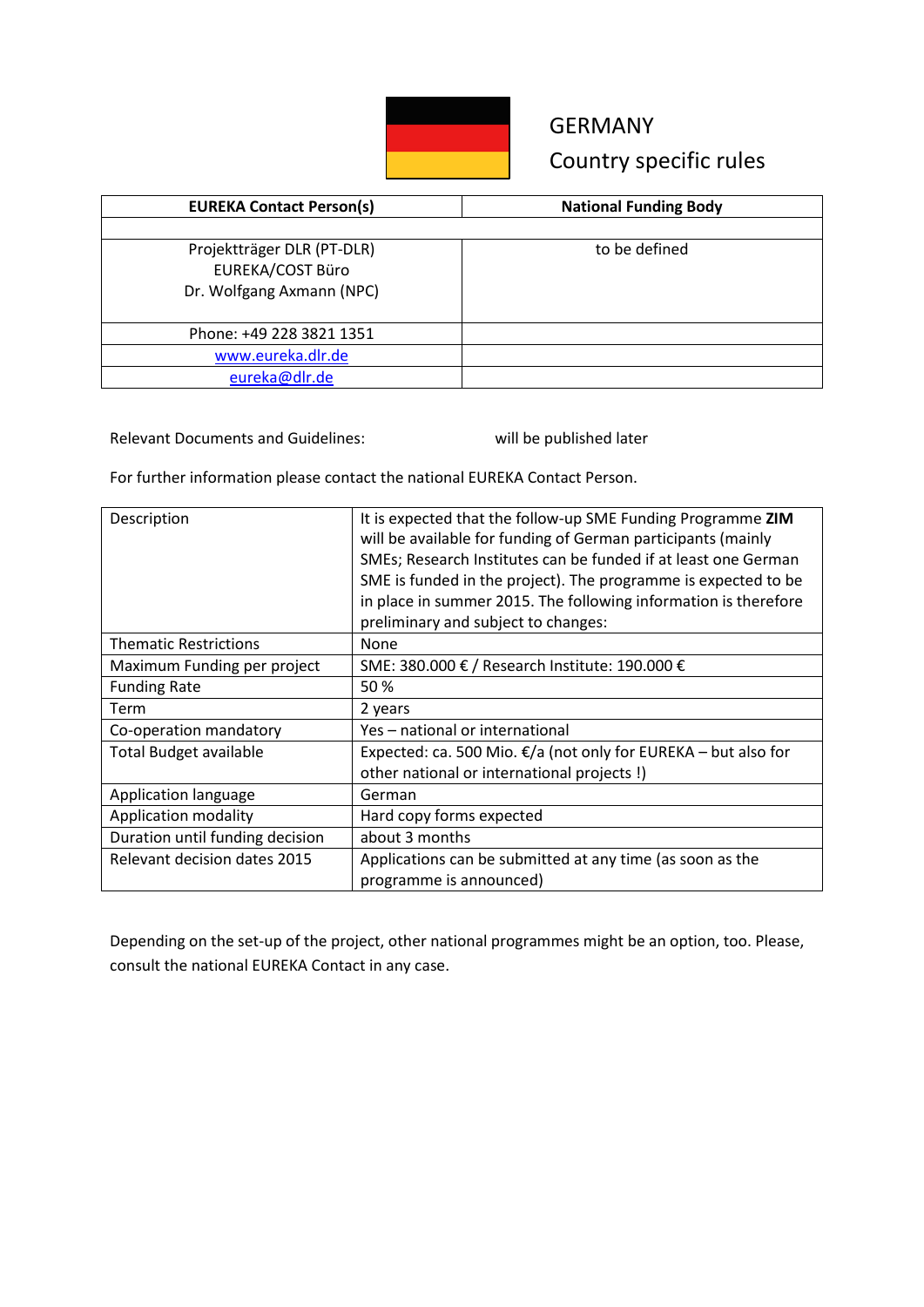

# GERMANY Country specific rules

| <b>EUREKA Contact Person(s)</b>                                                    | <b>National Funding Body</b> |
|------------------------------------------------------------------------------------|------------------------------|
|                                                                                    |                              |
| Projektträger DLR (PT-DLR)<br><b>EUREKA/COST Büro</b><br>Dr. Wolfgang Axmann (NPC) | to be defined                |
| Phone: +49 228 3821 1351                                                           |                              |
| www.eureka.dlr.de                                                                  |                              |
| eureka@dlr.de                                                                      |                              |

Relevant Documents and Guidelines: will be published later

For further information please contact the national EUREKA Contact Person.

| It is expected that the follow-up SME Funding Programme ZIM<br>will be available for funding of German participants (mainly<br>SMEs; Research Institutes can be funded if at least one German<br>SME is funded in the project). The programme is expected to be<br>in place in summer 2015. The following information is therefore<br>preliminary and subject to changes: |
|---------------------------------------------------------------------------------------------------------------------------------------------------------------------------------------------------------------------------------------------------------------------------------------------------------------------------------------------------------------------------|
| None                                                                                                                                                                                                                                                                                                                                                                      |
| SME: 380.000 € / Research Institute: 190.000 €                                                                                                                                                                                                                                                                                                                            |
| 50%                                                                                                                                                                                                                                                                                                                                                                       |
| 2 years                                                                                                                                                                                                                                                                                                                                                                   |
| Yes – national or international                                                                                                                                                                                                                                                                                                                                           |
| Expected: ca. 500 Mio. €/a (not only for EUREKA - but also for                                                                                                                                                                                                                                                                                                            |
| other national or international projects!)                                                                                                                                                                                                                                                                                                                                |
| German                                                                                                                                                                                                                                                                                                                                                                    |
| Hard copy forms expected                                                                                                                                                                                                                                                                                                                                                  |
| about 3 months                                                                                                                                                                                                                                                                                                                                                            |
| Applications can be submitted at any time (as soon as the<br>programme is announced)                                                                                                                                                                                                                                                                                      |
|                                                                                                                                                                                                                                                                                                                                                                           |

Depending on the set-up of the project, other national programmes might be an option, too. Please, consult the national EUREKA Contact in any case.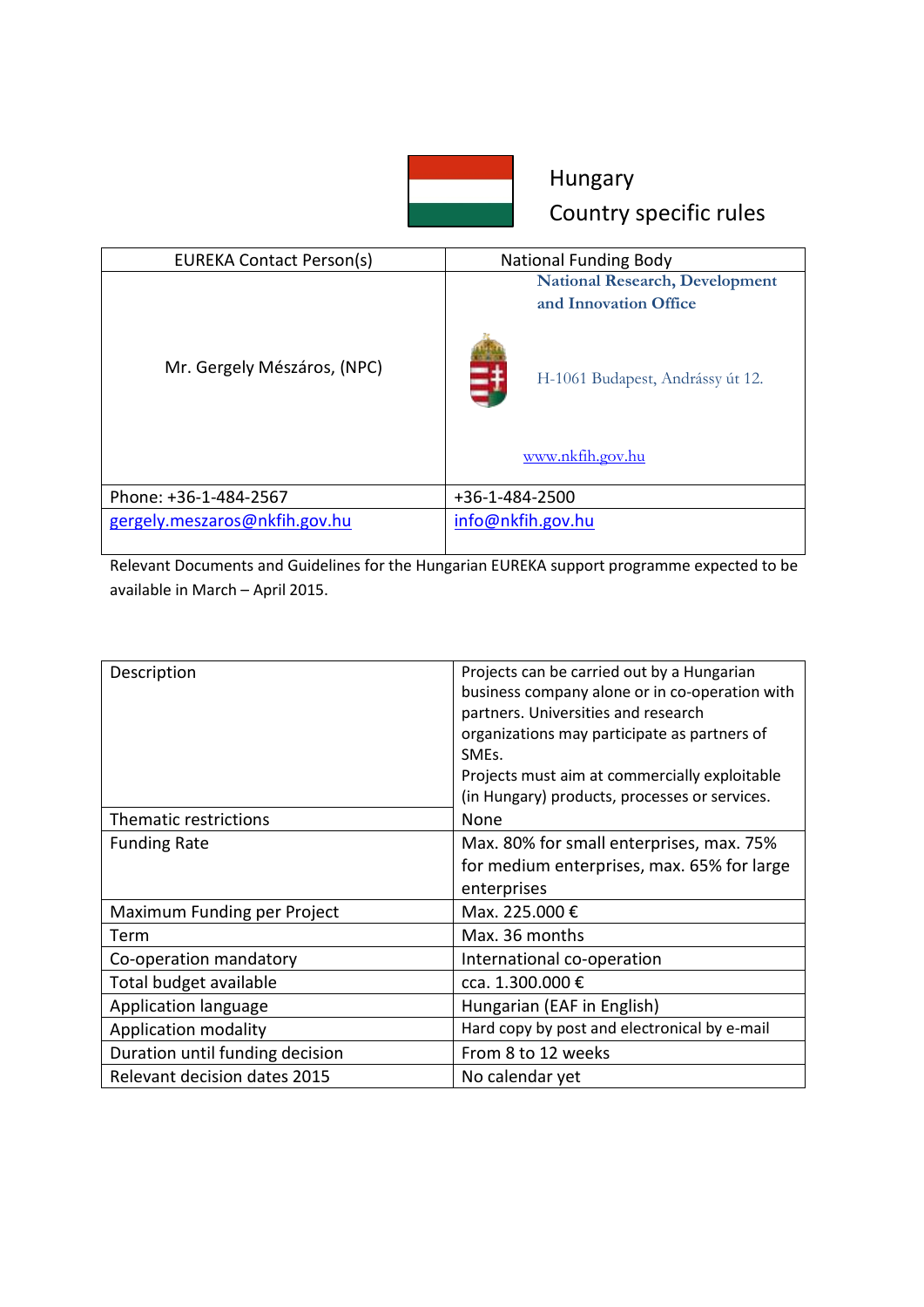

# Hungary Country specific rules

| <b>EUREKA Contact Person(s)</b> | <b>National Funding Body</b>                                   |
|---------------------------------|----------------------------------------------------------------|
|                                 | <b>National Research, Development</b><br>and Innovation Office |
| Mr. Gergely Mészáros, (NPC)     | H-1061 Budapest, Andrássy út 12.                               |
|                                 | www.nkfih.gov.hu                                               |
| Phone: +36-1-484-2567           | +36-1-484-2500                                                 |
| gergely.meszaros@nkfih.gov.hu   | info@nkfih.gov.hu                                              |

Relevant Documents and Guidelines for the Hungarian EUREKA support programme expected to be available in March – April 2015.

| Description                     | Projects can be carried out by a Hungarian     |
|---------------------------------|------------------------------------------------|
|                                 | business company alone or in co-operation with |
|                                 | partners. Universities and research            |
|                                 | organizations may participate as partners of   |
|                                 | SME <sub>s</sub> .                             |
|                                 | Projects must aim at commercially exploitable  |
|                                 | (in Hungary) products, processes or services.  |
| Thematic restrictions           | None                                           |
| <b>Funding Rate</b>             | Max. 80% for small enterprises, max. 75%       |
|                                 | for medium enterprises, max. 65% for large     |
|                                 | enterprises                                    |
| Maximum Funding per Project     | Max. 225.000 €                                 |
| Term                            | Max. 36 months                                 |
| Co-operation mandatory          | International co-operation                     |
| Total budget available          | cca. 1.300.000 €                               |
| Application language            | Hungarian (EAF in English)                     |
| Application modality            | Hard copy by post and electronical by e-mail   |
| Duration until funding decision | From 8 to 12 weeks                             |
| Relevant decision dates 2015    | No calendar yet                                |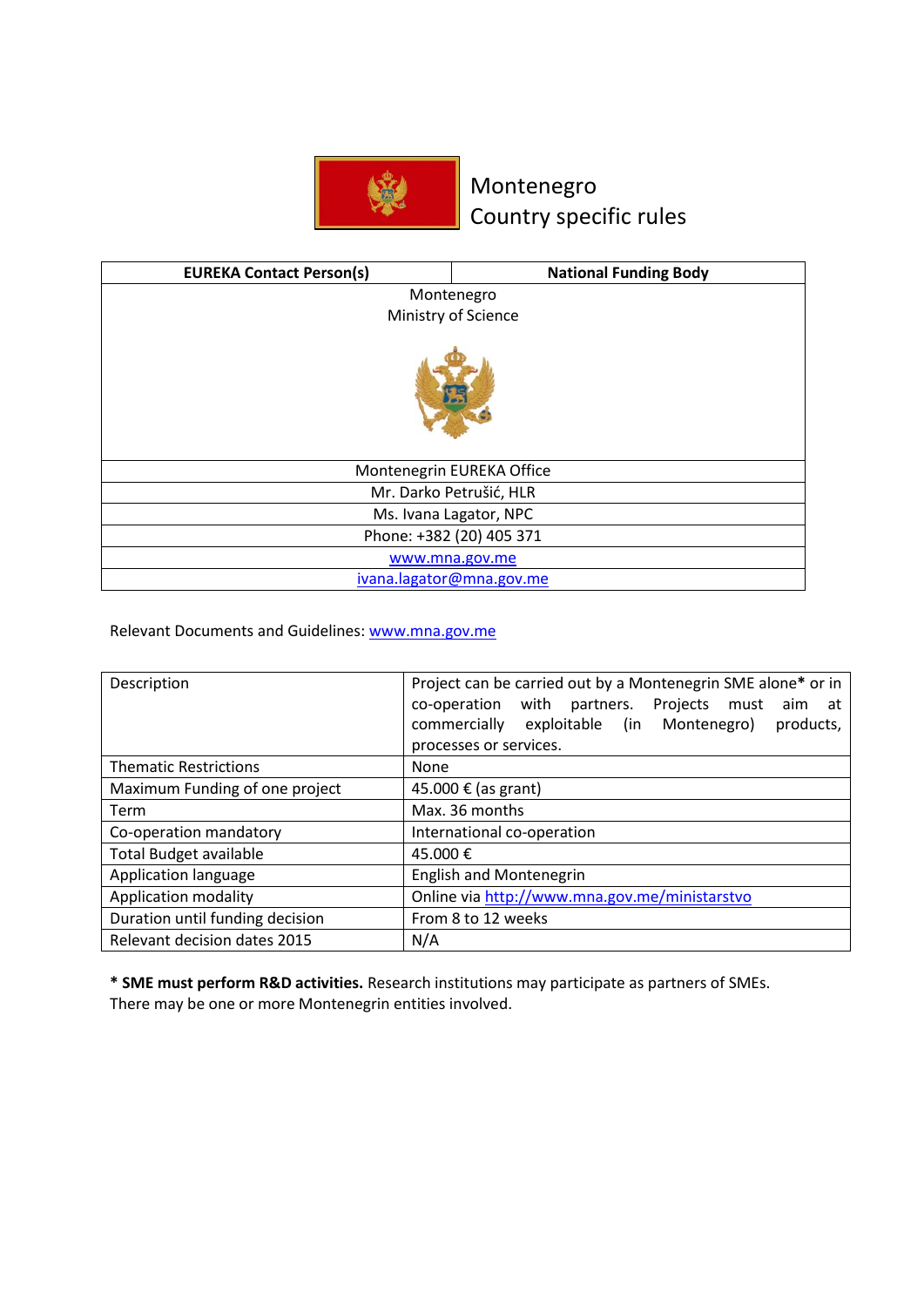

## Montenegro Country specific rules

| <b>EUREKA Contact Person(s)</b> | <b>National Funding Body</b> |
|---------------------------------|------------------------------|
| Montenegro                      |                              |
|                                 | Ministry of Science          |
|                                 |                              |
| Montenegrin EUREKA Office       |                              |
| Mr. Darko Petrušić, HLR         |                              |
| Ms. Ivana Lagator, NPC          |                              |
| Phone: +382 (20) 405 371        |                              |
| www.mna.gov.me                  |                              |
|                                 | ivana.lagator@mna.gov.me     |

Relevant Documents and Guidelines: [www.mna.gov.me](http://www.mna.gov.me/)

| Description                     | Project can be carried out by a Montenegrin SME alone* or in |
|---------------------------------|--------------------------------------------------------------|
|                                 | co-operation with<br>partners. Projects must<br>aim at       |
|                                 | commercially<br>exploitable (in Montenegro)<br>products,     |
|                                 | processes or services.                                       |
| <b>Thematic Restrictions</b>    | <b>None</b>                                                  |
| Maximum Funding of one project  | 45.000 € (as grant)                                          |
| Term                            | Max. 36 months                                               |
| Co-operation mandatory          | International co-operation                                   |
| <b>Total Budget available</b>   | 45.000€                                                      |
| Application language            | <b>English and Montenegrin</b>                               |
| Application modality            | Online via http://www.mna.gov.me/ministarstvo                |
| Duration until funding decision | From 8 to 12 weeks                                           |
| Relevant decision dates 2015    | N/A                                                          |

**\* SME must perform R&D activities.** Research institutions may participate as partners of SMEs. There may be one or more Montenegrin entities involved.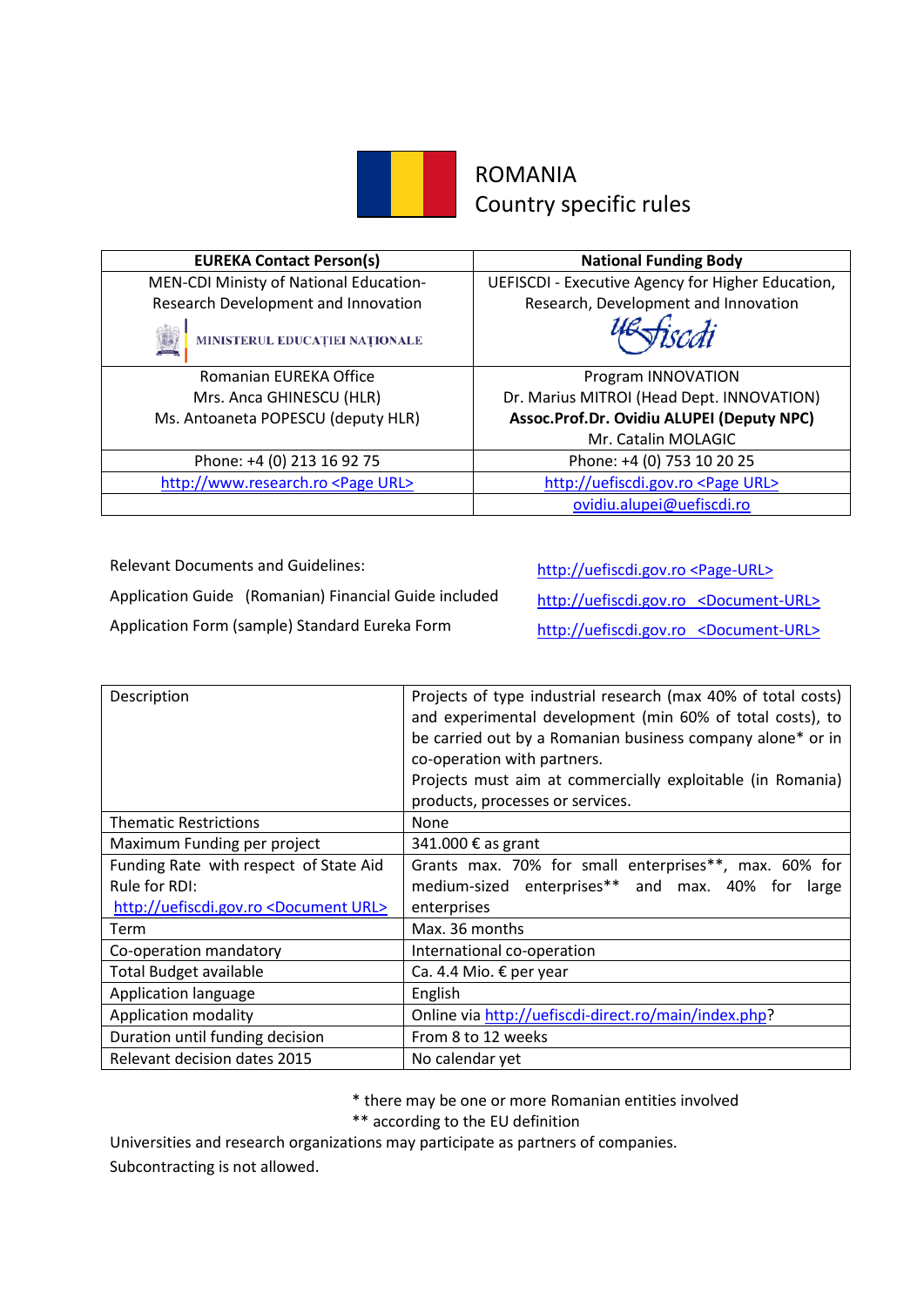

### ROMANIA Country specific rules

| <b>EUREKA Contact Person(s)</b>             | <b>National Funding Body</b>                      |
|---------------------------------------------|---------------------------------------------------|
| MEN-CDI Ministy of National Education-      | UEFISCDI - Executive Agency for Higher Education, |
| Research Development and Innovation         | Research, Development and Innovation              |
| MINISTERUL EDUCAȚIEI NAȚIONALE              |                                                   |
| Romanian EUREKA Office                      | Program INNOVATION                                |
| Mrs. Anca GHINESCU (HLR)                    | Dr. Marius MITROI (Head Dept. INNOVATION)         |
| Ms. Antoaneta POPESCU (deputy HLR)          | Assoc.Prof.Dr. Ovidiu ALUPEI (Deputy NPC)         |
|                                             | Mr. Catalin MOLAGIC                               |
| Phone: +4 (0) 213 16 92 75                  | Phone: +4 (0) 753 10 20 25                        |
| http://www.research.ro <page url=""></page> | http://uefiscdi.gov.ro <page url=""></page>       |
|                                             | ovidiu.alupei@uefiscdi.ro                         |

Relevant Documents and Guidelines: [http://uefiscdi.gov.ro <Page-URL>](http://uefiscdi.gov.ro/articole/3230/Pachet-de-informatii-Modul-5-Eureka-2012.html)

Application Guide (Romanian) Financial Guide included [http://uefiscdi.gov.ro <Document-URL>](http://uefiscdi.gov.ro/userfiles/file/Inovare%20Modul%205%20EUREKA/Pachet%20Informatii%202012/PACHET_INOVARE%20Eureka%20ROM%20%2028_11_2012.pdf) Application Form (sample) Standard Eureka Form [http://uefiscdi.gov.ro <Document-URL>](http://uefiscdi.gov.ro/userfiles/file/Inovare%20Modul%205%20EUREKA/Pachet%20Informatii%202012/ANEXA%201%20%20Formular%20Eureka.pdf)

| Description                                         | Projects of type industrial research (max 40% of total costs)<br>and experimental development (min 60% of total costs), to<br>be carried out by a Romanian business company alone* or in<br>co-operation with partners.<br>Projects must aim at commercially exploitable (in Romania)<br>products, processes or services. |
|-----------------------------------------------------|---------------------------------------------------------------------------------------------------------------------------------------------------------------------------------------------------------------------------------------------------------------------------------------------------------------------------|
| <b>Thematic Restrictions</b>                        | None                                                                                                                                                                                                                                                                                                                      |
| Maximum Funding per project                         | 341.000 € as grant                                                                                                                                                                                                                                                                                                        |
| Funding Rate with respect of State Aid              | Grants max. 70% for small enterprises**, max. 60% for                                                                                                                                                                                                                                                                     |
| Rule for RDI:                                       | medium-sized enterprises** and max. 40% for<br>large                                                                                                                                                                                                                                                                      |
| http://uefiscdi.gov.ro <document url=""></document> | enterprises                                                                                                                                                                                                                                                                                                               |
| Term                                                | Max. 36 months                                                                                                                                                                                                                                                                                                            |
| Co-operation mandatory                              | International co-operation                                                                                                                                                                                                                                                                                                |
| <b>Total Budget available</b>                       | Ca. 4.4 Mio. € per year                                                                                                                                                                                                                                                                                                   |
| Application language                                | English                                                                                                                                                                                                                                                                                                                   |
| Application modality                                | Online via http://uefiscdi-direct.ro/main/index.php?                                                                                                                                                                                                                                                                      |
| Duration until funding decision                     | From 8 to 12 weeks                                                                                                                                                                                                                                                                                                        |
| Relevant decision dates 2015                        | No calendar yet                                                                                                                                                                                                                                                                                                           |

\* there may be one or more Romanian entities involved

\*\* according to the EU definition

Universities and research organizations may participate as partners of companies. Subcontracting is not allowed.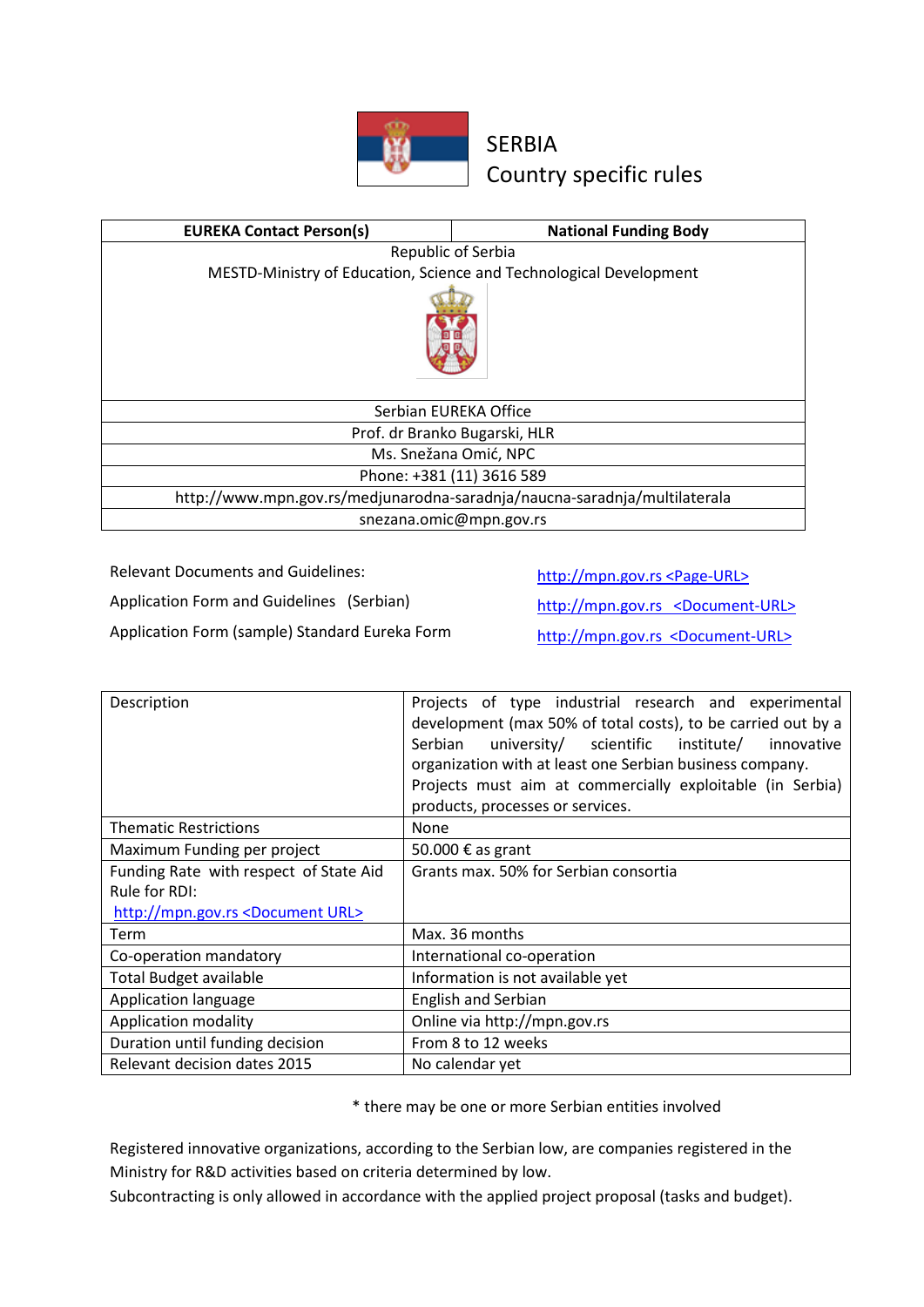

### SERBIA Country specific rules

| <b>EUREKA Contact Person(s)</b>                                           | <b>National Funding Body</b>                                       |
|---------------------------------------------------------------------------|--------------------------------------------------------------------|
| Republic of Serbia                                                        |                                                                    |
|                                                                           | MESTD-Ministry of Education, Science and Technological Development |
|                                                                           |                                                                    |
| Serbian EUREKA Office                                                     |                                                                    |
| Prof. dr Branko Bugarski, HLR                                             |                                                                    |
| Ms. Snežana Omić, NPC                                                     |                                                                    |
| Phone: +381 (11) 3616 589                                                 |                                                                    |
| http://www.mpn.gov.rs/medjunarodna-saradnja/naucna-saradnja/multilaterala |                                                                    |
| snezana.omic@mpn.gov.rs                                                   |                                                                    |

Relevant Documents and Guidelines: http://mpn.gov.rs <Page-URL>

Application Form and Guidelines (Serbian) http://mpn.gov.rs <Document-URL>

Application Form (sample) Standard Eureka Form http://mpn.gov.rs <Document-URL>

| Description                                    | Projects of type industrial research and experimental<br>development (max 50% of total costs), to be carried out by a<br>Serbian<br>university/ scientific institute/<br>innovative<br>organization with at least one Serbian business company.<br>Projects must aim at commercially exploitable (in Serbia)<br>products, processes or services. |
|------------------------------------------------|--------------------------------------------------------------------------------------------------------------------------------------------------------------------------------------------------------------------------------------------------------------------------------------------------------------------------------------------------|
| <b>Thematic Restrictions</b>                   | None                                                                                                                                                                                                                                                                                                                                             |
| Maximum Funding per project                    | 50.000 € as grant                                                                                                                                                                                                                                                                                                                                |
| Funding Rate with respect of State Aid         | Grants max. 50% for Serbian consortia                                                                                                                                                                                                                                                                                                            |
| Rule for RDI:                                  |                                                                                                                                                                                                                                                                                                                                                  |
| http://mpn.gov.rs <document url=""></document> |                                                                                                                                                                                                                                                                                                                                                  |
| <b>Term</b>                                    | Max. 36 months                                                                                                                                                                                                                                                                                                                                   |
| Co-operation mandatory                         | International co-operation                                                                                                                                                                                                                                                                                                                       |
| <b>Total Budget available</b>                  | Information is not available yet                                                                                                                                                                                                                                                                                                                 |
| Application language                           | <b>English and Serbian</b>                                                                                                                                                                                                                                                                                                                       |
| Application modality                           | Online via http://mpn.gov.rs                                                                                                                                                                                                                                                                                                                     |
| Duration until funding decision                | From 8 to 12 weeks                                                                                                                                                                                                                                                                                                                               |
| <b>Relevant decision dates 2015</b>            | No calendar yet                                                                                                                                                                                                                                                                                                                                  |

\* there may be one or more Serbian entities involved

Registered innovative organizations, according to the Serbian low, are companies registered in the Ministry for R&D activities based on criteria determined by low.

Subcontracting is only allowed in accordance with the applied project proposal (tasks and budget).